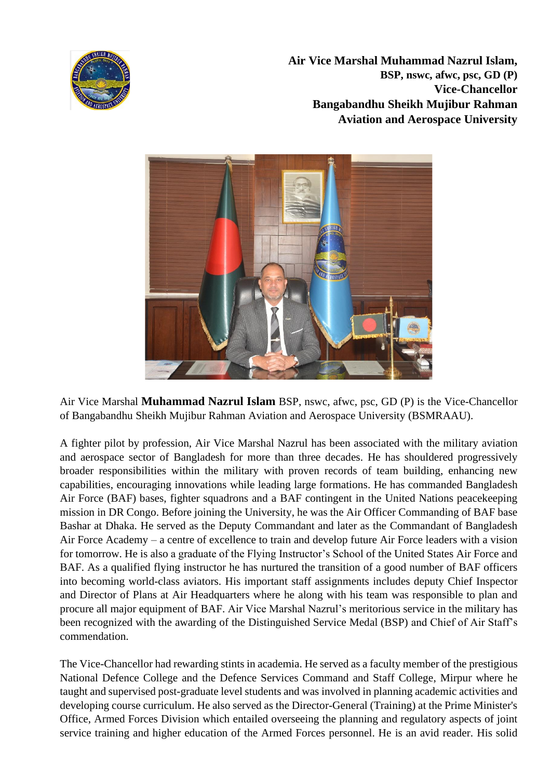

**Air Vice Marshal Muhammad Nazrul Islam, BSP, nswc, afwc, psc, GD (P) Vice-Chancellor Bangabandhu Sheikh Mujibur Rahman Aviation and Aerospace University**



Air Vice Marshal **Muhammad Nazrul Islam** BSP, nswc, afwc, psc, GD (P) is the Vice-Chancellor of Bangabandhu Sheikh Mujibur Rahman Aviation and Aerospace University (BSMRAAU).

A fighter pilot by profession, Air Vice Marshal Nazrul has been associated with the military aviation and aerospace sector of Bangladesh for more than three decades. He has shouldered progressively broader responsibilities within the military with proven records of team building, enhancing new capabilities, encouraging innovations while leading large formations. He has commanded Bangladesh Air Force (BAF) bases, fighter squadrons and a BAF contingent in the United Nations peacekeeping mission in DR Congo. Before joining the University, he was the Air Officer Commanding of BAF base Bashar at Dhaka. He served as the Deputy Commandant and later as the Commandant of Bangladesh Air Force Academy – a centre of excellence to train and develop future Air Force leaders with a vision for tomorrow. He is also a graduate of the Flying Instructor's School of the United States Air Force and BAF. As a qualified flying instructor he has nurtured the transition of a good number of BAF officers into becoming world-class aviators. His important staff assignments includes deputy Chief Inspector and Director of Plans at Air Headquarters where he along with his team was responsible to plan and procure all major equipment of BAF. Air Vice Marshal Nazrul's meritorious service in the military has been recognized with the awarding of the Distinguished Service Medal (BSP) and Chief of Air Staff's commendation.

The Vice-Chancellor had rewarding stints in academia. He served as a faculty member of the prestigious National Defence College and the Defence Services Command and Staff College, Mirpur where he taught and supervised post-graduate level students and was involved in planning academic activities and developing course curriculum. He also served as the Director-General (Training) at the Prime Minister's Office, Armed Forces Division which entailed overseeing the planning and regulatory aspects of joint service training and higher education of the Armed Forces personnel. He is an avid reader. His solid